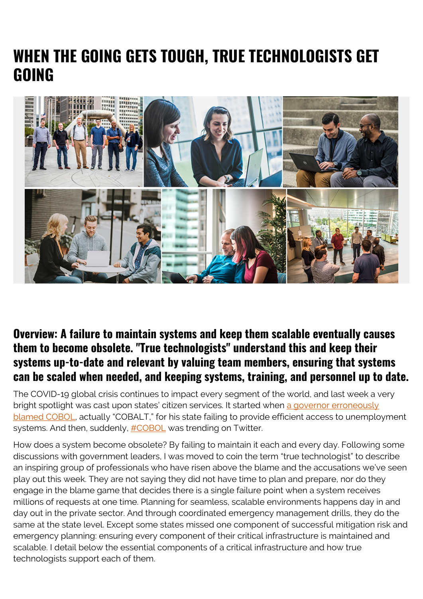## **WHEN THE GOING GETS TOUGH, TRUE TECHNOLOGISTS GET GOING**



## **Overview: A failure to maintain systems and keep them scalable eventually causes them to become obsolete. "True technologists" understand this and keep their systems up-to-date and relevant by valuing team members, ensuring that systems can be scaled when needed, and keeping systems, training, and personnel up to date.**

The COVID-19 global crisis continues to impact every segment of the world, and last week a very bright spotlight was cast upon states' citizen services. It started when [a governor erroneously](https://www.govtech.com/computing/As-Unemployment-Claims-Spike-New-Jersey-Seeks-COBOL-Coders.html) [blamed COBOL,](https://www.govtech.com/computing/As-Unemployment-Claims-Spike-New-Jersey-Seeks-COBOL-Coders.html) actually "COBALT," for his state failing to provide efficient access to unemployment systems. And then, suddenly, [#COBOL](https://twitter.com/hashtag/COBOL?src=hashtag_click) was trending on Twitter.

How does a system become obsolete? By failing to maintain it each and every day. Following some discussions with government leaders, I was moved to coin the term "true technologist" to describe an inspiring group of professionals who have risen above the blame and the accusations we've seen play out this week. They are not saying they did not have time to plan and prepare, nor do they engage in the blame game that decides there is a single failure point when a system receives millions of requests at one time. Planning for seamless, scalable environments happens day in and day out in the private sector. And through coordinated emergency management drills, they do the same at the state level. Except some states missed one component of successful mitigation risk and emergency planning: ensuring every component of their critical infrastructure is maintained and scalable. I detail below the essential components of a critical infrastructure and how true technologists support each of them.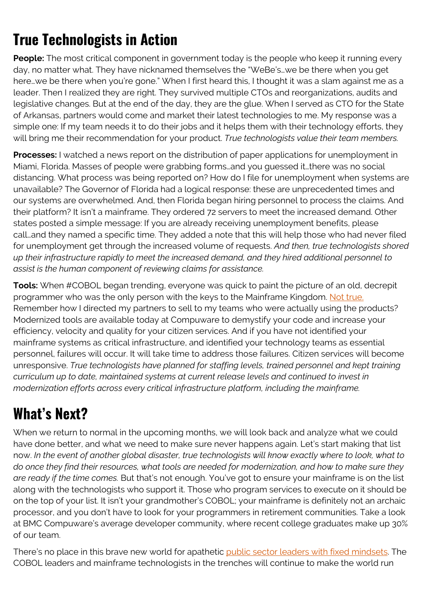## **True Technologists in Action**

**People:** The most critical component in government today is the people who keep it running every day, no matter what. They have nicknamed themselves the "WeBe's…we be there when you get here…we be there when you're gone." When I first heard this, I thought it was a slam against me as a leader. Then I realized they are right. They survived multiple CTOs and reorganizations, audits and legislative changes. But at the end of the day, they are the glue. When I served as CTO for the State of Arkansas, partners would come and market their latest technologies to me. My response was a simple one: If my team needs it to do their jobs and it helps them with their technology efforts, they will bring me their recommendation for your product. *True technologists value their team members.*

**Processes:** I watched a news report on the distribution of paper applications for unemployment in Miami, Florida. Masses of people were grabbing forms…and you guessed it…there was no social distancing. What process was being reported on? How do I file for unemployment when systems are unavailable? The Governor of Florida had a logical response: these are unprecedented times and our systems are overwhelmed. And, then Florida began hiring personnel to process the claims. And their platform? It isn't a mainframe. They ordered 72 servers to meet the increased demand. Other states posted a simple message: If you are already receiving unemployment benefits, please call…and they named a specific time. They added a note that this will help those who had never filed for unemployment get through the increased volume of requests. *And then, true technologists shored up their infrastructure rapidly to meet the increased demand, and they hired additional personnel to assist is the human component of reviewing claims for assistance.*

**Tools:** When #COBOL began trending, everyone was quick to paint the picture of an old, decrepit programmer who was the only person with the keys to the Mainframe Kingdom. [Not true.](https://www.itproportal.com/features/four-reasons-why-next-gen-developers-should-want-to-work-on-the-mainframe) Remember how I directed my partners to sell to my teams who were actually using the products? Modernized tools are available today at Compuware to demystify your code and increase your efficiency, velocity and quality for your citizen services. And if you have not identified your mainframe systems as critical infrastructure, and identified your technology teams as essential personnel, failures will occur. It will take time to address those failures. Citizen services will become unresponsive. *True technologists have planned for staffing levels, trained personnel and kept training curriculum up to date, maintained systems at current release levels and continued to invest in modernization efforts across every critical infrastructure platform, including the mainframe.*

## **What's Next?**

When we return to normal in the upcoming months, we will look back and analyze what we could have done better, and what we need to make sure never happens again. Let's start making that list now. *In the event of another global disaster, true technologists will know exactly where to look, what to do once they find their resources, what tools are needed for modernization, and how to make sure they are ready if the time comes.* But that's not enough. You've got to ensure your mainframe is on the list along with the technologists who support it. Those who program services to execute on it should be on the top of your list. It isn't your grandmother's COBOL; your mainframe is definitely not an archaic processor, and you don't have to look for your programmers in retirement communities. Take a look at BMC Compuware's average developer community, where recent college graduates make up 30% of our team.

There's no place in this brave new world for apathetic [public sector leaders with fixed mindsets.](https://gcn.com/articles/2020/03/17/mainframe-resistant-mindsets.aspx?utm_content=122345671&utm_medium=social&utm_source=linkedin&hss_channel=lcp-1976) The COBOL leaders and mainframe technologists in the trenches will continue to make the world run